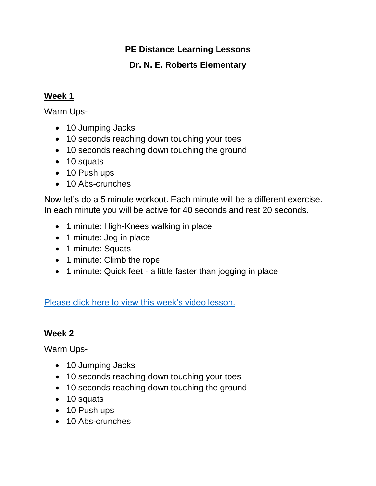## **PE Distance Learning Lessons**

## **Dr. N. E. Roberts Elementary**

#### **Week 1**

Warm Ups-

- 10 Jumping Jacks
- 10 seconds reaching down touching your toes
- 10 seconds reaching down touching the ground
- 10 squats
- 10 Push ups
- 10 Abs-crunches

Now let's do a 5 minute workout. Each minute will be a different exercise. In each minute you will be active for 40 seconds and rest 20 seconds.

- 1 minute: High-Knees walking in place
- 1 minute: Jog in place
- 1 minute: Squats
- 1 minute: Climb the rope
- 1 minute: Quick feet a little faster than jogging in place

[Please click here to view this week's video lesson.](https://www.youtube.com/watch?v=Yzg-4rI9_P0&feature=youtu.be)

#### **Week 2**

Warm Ups-

- 10 Jumping Jacks
- 10 seconds reaching down touching your toes
- 10 seconds reaching down touching the ground
- 10 squats
- 10 Push ups
- 10 Abs-crunches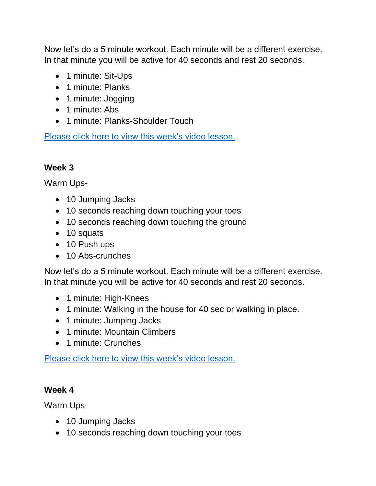Now let's do a 5 minute workout. Each minute will be a different exercise. In that minute you will be active for 40 seconds and rest 20 seconds.

- 1 minute: Sit-Ups
- 1 minute: Planks
- 1 minute: Jogging
- 1 minute: Abs
- 1 minute: Planks-Shoulder Touch

[Please click here to view this week's video lesson.](https://www.youtube.com/watch?v=xSyDGnlFbYA&feature=youtu.be)

# **Week 3**

Warm Ups-

- 10 Jumping Jacks
- 10 seconds reaching down touching your toes
- 10 seconds reaching down touching the ground
- 10 squats
- 10 Push ups
- 10 Abs-crunches

Now let's do a 5 minute workout. Each minute will be a different exercise. In that minute you will be active for 40 seconds and rest 20 seconds.

- 1 minute: High-Knees
- 1 minute: Walking in the house for 40 sec or walking in place.
- 1 minute: Jumping Jacks
- 1 minute: Mountain Climbers
- 1 minute: Crunches

[Please click here to view this week's video lesson.](https://www.youtube.com/watch?v=lhXyOTUPXk8&feature=youtu.be)

#### **Week 4**

Warm Ups-

- 10 Jumping Jacks
- 10 seconds reaching down touching your toes